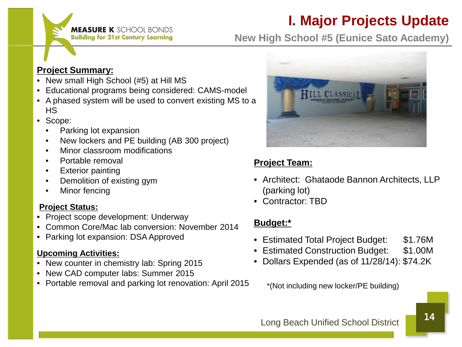**MEASURE K** SCHOOL BONDS **Building for 21st Century Learning** 

# **I. Major Projects Update**

**New High School #5 (Eunice Sato Academy)**

### **Project Summary:**

- New small High School (#5) at Hill MS
- Educational programs being considered: CAMS-model
- A phased system will be used to convert existing MS to a HS
- Scope:
	- Parking lot expansion
	- New lockers and PE building (AB 300 project)
	- Minor classroom modifications
	- Portable removal
	- Exterior painting
	- Demolition of existing gym
	- Minor fencing

#### **Project Status:**

- Project scope development: Underway
- Common Core/Mac lab conversion: November 2014
- Parking lot expansion: DSA Approved

#### **Upcoming Activities:**

- New counter in chemistry lab: Spring 2015
- New CAD computer labs: Summer 2015
- Portable removal and parking lot renovation: April 2015



# **Project Team:**

- Architect: Ghataode Bannon Architects, LLP (parking lot)
- Contractor: TBD

### **Budget:\***

- Estimated Total Project Budget: \$1.76M
- Estimated Construction Budget: \$1.00M
- Dollars Expended (as of 11/28/14): \$74.2K

\*(Not including new locker/PE building)